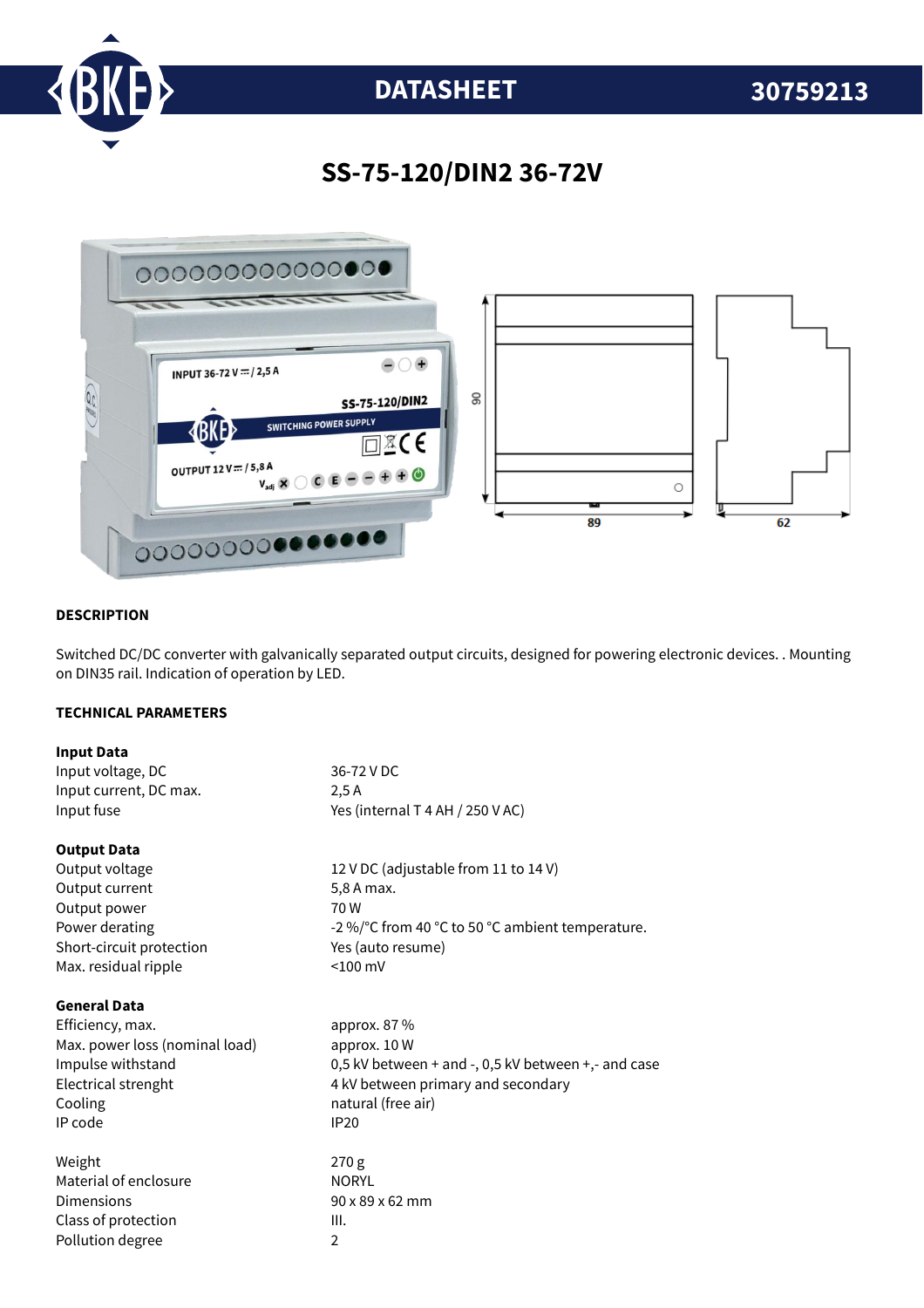

# **DATASHEET 30759213**

### **SS-75-120/DIN2 36-72V**



#### **DESCRIPTION**

Switched DC/DC converter with galvanically separated output circuits, designed for powering electronic devices. . Mounting on DIN35 rail. Indication of operation by LED.

#### **TECHNICAL PARAMETERS**

| <b>Input Data</b>              |                                                     |
|--------------------------------|-----------------------------------------------------|
| Input voltage, DC              | 36-72 V DC                                          |
| Input current, DC max.         | 2.5A                                                |
| Input fuse                     | Yes (internal T 4 AH / 250 V AC)                    |
| <b>Output Data</b>             |                                                     |
| Output voltage                 | 12 V DC (adjustable from 11 to 14 V)                |
| Output current                 | 5,8 A max.                                          |
| Output power                   | 70W                                                 |
| Power derating                 | -2 %/°C from 40 °C to 50 °C ambient temperature.    |
| Short-circuit protection       | Yes (auto resume)                                   |
| Max. residual ripple           | $< 100$ mV                                          |
| <b>General Data</b>            |                                                     |
| Efficiency, max.               | approx. 87 %                                        |
| Max. power loss (nominal load) | approx. 10 W                                        |
| Impulse withstand              | 0,5 kV between + and -, 0,5 kV between +,- and case |
| Electrical strenght            | 4 kV between primary and secondary                  |
| Cooling                        | natural (free air)                                  |
| IP code                        | <b>IP20</b>                                         |
| Weight                         | 270 <sub>g</sub>                                    |
| Material of enclosure          | <b>NORYL</b>                                        |
| Dimensions                     | 90 x 89 x 62 mm                                     |
| Class of protection            | Ш.                                                  |
| Pollution degree               | $\overline{2}$                                      |
|                                |                                                     |